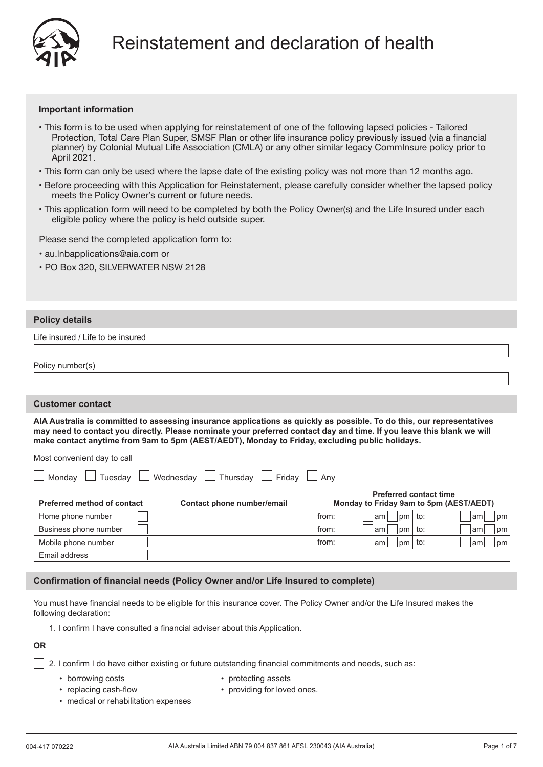

# **Important information**

- This form is to be used when applying for reinstatement of one of the following lapsed policies Tailored Protection, Total Care Plan Super, SMSF Plan or other life insurance policy previously issued (via a financial planner) by Colonial Mutual Life Association (CMLA) or any other similar legacy CommInsure policy prior to April 2021.
- This form can only be used where the lapse date of the existing policy was not more than 12 months ago.
- Before proceeding with this Application for Reinstatement, please carefully consider whether the lapsed policy meets the Policy Owner's current or future needs.
- This application form will need to be completed by both the Policy Owner(s) and the Life Insured under each eligible policy where the policy is held outside super.

Please send the completed application form to:

- au.lnbapplications@aia.com or
- PO Box 320, SILVERWATER NSW 2128

# **Policy details**

 $\sqrt{ }$ 

Life insured / Life to be insured

| Policy number(s) |  |  |
|------------------|--|--|
|                  |  |  |

## **Customer contact**

**AIA Australia is committed to assessing insurance applications as quickly as possible. To do this, our representatives may need to contact you directly. Please nominate your preferred contact day and time. If you leave this blank we will make contact anytime from 9am to 5pm (AEST/AEDT), Monday to Friday, excluding public holidays.**

Most convenient day to call

| Thursdav<br>Wednesdav<br>Fridav<br>Mondav<br>Tuesdav<br>Anv |                            |                                                                          |  |  |  |
|-------------------------------------------------------------|----------------------------|--------------------------------------------------------------------------|--|--|--|
| <b>Preferred method of contact</b>                          | Contact phone number/email | <b>Preferred contact time</b><br>Monday to Friday 9am to 5pm (AEST/AEDT) |  |  |  |
| Home phone number                                           |                            | from:<br>to:<br>am<br>pm<br>am<br>  pm                                   |  |  |  |
| Business phone number                                       |                            | from:<br>to:<br>pm<br>am<br>am<br> pm                                    |  |  |  |
| Mobile phone number                                         |                            | from:<br>to:<br>pm<br>am<br>am<br>  pm                                   |  |  |  |
| Email address                                               |                            |                                                                          |  |  |  |

# **Confirmation of financial needs (Policy Owner and/or Life Insured to complete)**

You must have financial needs to be eligible for this insurance cover. The Policy Owner and/or the Life Insured makes the following declaration:

 $\vert$  1. I confirm I have consulted a financial adviser about this Application.

**OR**

 $\vert$  2. I confirm I do have either existing or future outstanding financial commitments and needs, such as:

• borrowing costs

- protecting assets
- replacing cash-flow • providing for loved ones.
- medical or rehabilitation expenses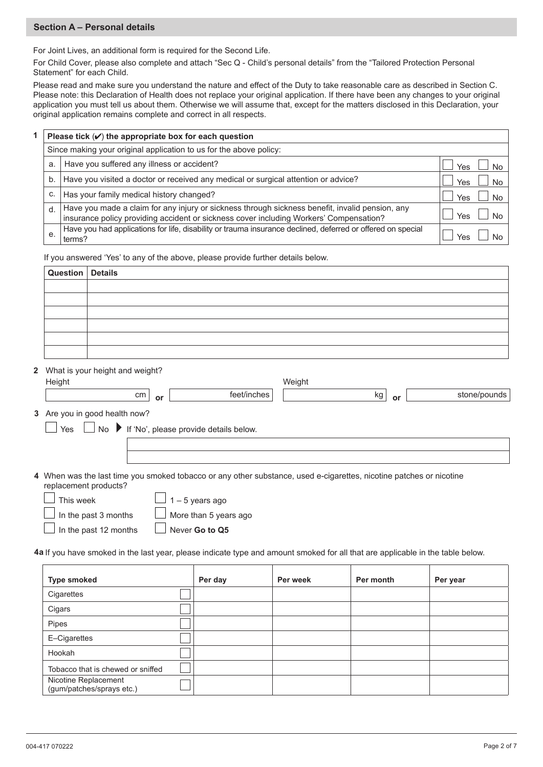# **Section A – Personal details**

For Joint Lives, an additional form is required for the Second Life.

For Child Cover, please also complete and attach "Sec Q - Child's personal details" from the "Tailored Protection Personal Statement" for each Child.

Please read and make sure you understand the nature and effect of the Duty to take reasonable care as described in Section C. Please note: this Declaration of Health does not replace your original application. If there have been any changes to your original application you must tell us about them. Otherwise we will assume that, except for the matters disclosed in this Declaration, your original application remains complete and correct in all respects.

| Please tick $(V)$ the appropriate box for each question            |                                                                                                                                                                                           |     |  |  |  |  |  |  |
|--------------------------------------------------------------------|-------------------------------------------------------------------------------------------------------------------------------------------------------------------------------------------|-----|--|--|--|--|--|--|
| Since making your original application to us for the above policy: |                                                                                                                                                                                           |     |  |  |  |  |  |  |
| Have you suffered any illness or accident?<br>a.                   |                                                                                                                                                                                           |     |  |  |  |  |  |  |
| b.                                                                 | Have you visited a doctor or received any medical or surgical attention or advice?                                                                                                        | Yes |  |  |  |  |  |  |
| C.                                                                 | Has your family medical history changed?                                                                                                                                                  | Yes |  |  |  |  |  |  |
| d.                                                                 | Have you made a claim for any injury or sickness through sickness benefit, invalid pension, any<br>insurance policy providing accident or sickness cover including Workers' Compensation? | Yes |  |  |  |  |  |  |
| е.                                                                 | Have you had applications for life, disability or trauma insurance declined, deferred or offered on special<br>terms?                                                                     | Y≏s |  |  |  |  |  |  |

If you answered 'Yes' to any of the above, please provide further details below.

| Question Details |  |
|------------------|--|
|                  |  |
|                  |  |
|                  |  |
|                  |  |
|                  |  |
|                  |  |

What is your height and weight? **2**

| Height                        |          |                                                                                                                     | Weight |    |              |
|-------------------------------|----------|---------------------------------------------------------------------------------------------------------------------|--------|----|--------------|
|                               | cm<br>or | feet/inches                                                                                                         | kg     | or | stone/pounds |
| 3 Are you in good health now? |          |                                                                                                                     |        |    |              |
|                               |          | $\Box$ No $\blacktriangleright$ If 'No', please provide details below.                                              |        |    |              |
|                               |          |                                                                                                                     |        |    |              |
|                               |          |                                                                                                                     |        |    |              |
| replacement products?         |          | 4 When was the last time you smoked tobacco or any other substance, used e-cigarettes, nicotine patches or nicotine |        |    |              |

|        | replacement p    |  |
|--------|------------------|--|
|        | $\Box$ This week |  |
| $\Box$ |                  |  |

**3**

 $\perp$  1 – 5 years ago

 $\Box$  In the past 3 months

In the past 12 months

More than 5 years ago Never **Go to Q5**

**4a** If you have smoked in the last year, please indicate type and amount smoked for all that are applicable in the table below.

| <b>Type smoked</b>                                | Per day | Per week | Per month | Per year |
|---------------------------------------------------|---------|----------|-----------|----------|
| Cigarettes                                        |         |          |           |          |
| Cigars                                            |         |          |           |          |
| Pipes                                             |         |          |           |          |
| E-Cigarettes                                      |         |          |           |          |
| Hookah                                            |         |          |           |          |
| Tobacco that is chewed or sniffed                 |         |          |           |          |
| Nicotine Replacement<br>(gum/patches/sprays etc.) |         |          |           |          |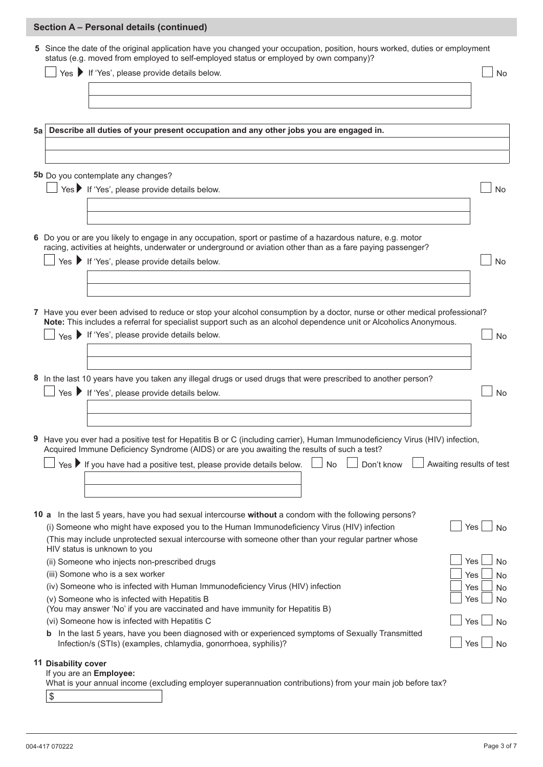|      | Section A - Personal details (continued)                                                                                                                                                                                                       |            |
|------|------------------------------------------------------------------------------------------------------------------------------------------------------------------------------------------------------------------------------------------------|------------|
|      | 5 Since the date of the original application have you changed your occupation, position, hours worked, duties or employment<br>status (e.g. moved from employed to self-employed status or employed by own company)?                           |            |
|      | $\Box$ Yes $\blacktriangleright$ If 'Yes', please provide details below.                                                                                                                                                                       | <b>No</b>  |
|      |                                                                                                                                                                                                                                                |            |
|      |                                                                                                                                                                                                                                                |            |
|      |                                                                                                                                                                                                                                                |            |
| 5a l | Describe all duties of your present occupation and any other jobs you are engaged in.                                                                                                                                                          |            |
|      |                                                                                                                                                                                                                                                |            |
|      |                                                                                                                                                                                                                                                |            |
|      | 5b Do you contemplate any changes?                                                                                                                                                                                                             |            |
|      | Yes If 'Yes', please provide details below.                                                                                                                                                                                                    | <b>No</b>  |
|      |                                                                                                                                                                                                                                                |            |
|      |                                                                                                                                                                                                                                                |            |
|      |                                                                                                                                                                                                                                                |            |
|      | 6 Do you or are you likely to engage in any occupation, sport or pastime of a hazardous nature, e.g. motor<br>racing, activities at heights, underwater or underground or aviation other than as a fare paying passenger?                      |            |
|      | Yes ▶ If 'Yes', please provide details below.                                                                                                                                                                                                  | <b>No</b>  |
|      |                                                                                                                                                                                                                                                |            |
|      |                                                                                                                                                                                                                                                |            |
|      |                                                                                                                                                                                                                                                |            |
|      | 7 Have you ever been advised to reduce or stop your alcohol consumption by a doctor, nurse or other medical professional?<br>Note: This includes a referral for specialist support such as an alcohol dependence unit or Alcoholics Anonymous. |            |
|      | Yes If 'Yes', please provide details below.                                                                                                                                                                                                    | <b>No</b>  |
|      |                                                                                                                                                                                                                                                |            |
|      |                                                                                                                                                                                                                                                |            |
|      | 8 In the last 10 years have you taken any illegal drugs or used drugs that were prescribed to another person?                                                                                                                                  |            |
|      | Yes If 'Yes', please provide details below.                                                                                                                                                                                                    | <b>No</b>  |
|      |                                                                                                                                                                                                                                                |            |
|      |                                                                                                                                                                                                                                                |            |
|      | 9 Have you ever had a positive test for Hepatitis B or C (including carrier), Human Immunodeficiency Virus (HIV) infection,                                                                                                                    |            |
|      | Acquired Immune Deficiency Syndrome (AIDS) or are you awaiting the results of such a test?                                                                                                                                                     |            |
|      | Yes $\blacktriangleright$ If you have had a positive test, please provide details below.<br>Don't know<br>No<br>Awaiting results of test                                                                                                       |            |
|      |                                                                                                                                                                                                                                                |            |
|      |                                                                                                                                                                                                                                                |            |
|      | 10 a In the last 5 years, have you had sexual intercourse without a condom with the following persons?                                                                                                                                         |            |
|      | (i) Someone who might have exposed you to the Human Immunodeficiency Virus (HIV) infection                                                                                                                                                     | Yes<br>No. |
|      | (This may include unprotected sexual intercourse with someone other than your regular partner whose<br>HIV status is unknown to you                                                                                                            |            |
|      | (ii) Someone who injects non-prescribed drugs                                                                                                                                                                                                  | Yes<br>No  |
|      | (iii) Somone who is a sex worker                                                                                                                                                                                                               | Yes<br>No. |
|      | (iv) Someone who is infected with Human Immunodeficiency Virus (HIV) infection                                                                                                                                                                 | Yes<br>No  |
|      | (v) Someone who is infected with Hepatitis B                                                                                                                                                                                                   | Yes<br>No  |
|      | (You may answer 'No' if you are vaccinated and have immunity for Hepatitis B)<br>(vi) Someone how is infected with Hepatitis C                                                                                                                 | Yes        |
|      | <b>b</b> In the last 5 years, have you been diagnosed with or experienced symptoms of Sexually Transmitted                                                                                                                                     | No         |
|      | Infection/s (STIs) (examples, chlamydia, gonorrhoea, syphilis)?                                                                                                                                                                                | Yes<br>No  |
|      | <b>11 Disability cover</b>                                                                                                                                                                                                                     |            |
|      | If you are an Employee:<br>What is your annual income (excluding employer superannuation contributions) from your main job before tax?                                                                                                         |            |
|      | \$                                                                                                                                                                                                                                             |            |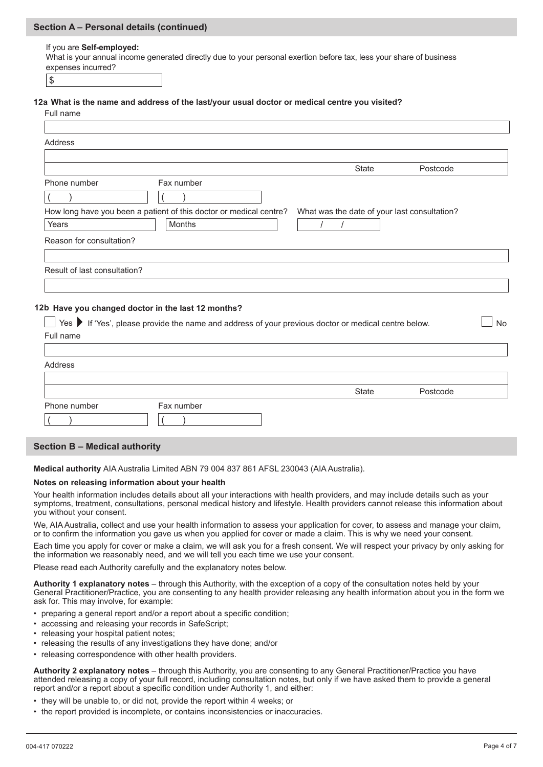# **Section A – Personal details (continued)**

#### If you are **Self-employed:**

What is your annual income generated directly due to your personal exertion before tax, less your share of business expenses incurred?

\$

## **12a What is the name and address of the last/your usual doctor or medical centre you visited?**

**12b Have you changed doctor in the last 12 months?**  Full name Address Yes If 'Yes', please provide the name and address of your previous doctor or medical centre below. No Full name Address ( ) Phone number  $($  ) Fax number What was the date of your last consultation? / / How long have you been a patient of this doctor or medical centre? Years Months Reason for consultation? Result of last consultation? State Postcode

|              |            | State | Postcode |
|--------------|------------|-------|----------|
| Phone number | Fax number |       |          |
|              |            |       |          |

## **Section B – Medical authority**

**Medical authority** AIA Australia Limited ABN 79 004 837 861 AFSL 230043 (AIA Australia).

#### **Notes on releasing information about your health**

Your health information includes details about all your interactions with health providers, and may include details such as your symptoms, treatment, consultations, personal medical history and lifestyle. Health providers cannot release this information about you without your consent.

We, AIA Australia, collect and use your health information to assess your application for cover, to assess and manage your claim, or to confirm the information you gave us when you applied for cover or made a claim. This is why we need your consent.

Each time you apply for cover or make a claim, we will ask you for a fresh consent. We will respect your privacy by only asking for the information we reasonably need, and we will tell you each time we use your consent.

Please read each Authority carefully and the explanatory notes below.

**Authority 1 explanatory notes** – through this Authority, with the exception of a copy of the consultation notes held by your General Practitioner/Practice, you are consenting to any health provider releasing any health information about you in the form we ask for. This may involve, for example:

- preparing a general report and/or a report about a specific condition;
- accessing and releasing your records in SafeScript;
- releasing your hospital patient notes;
- releasing the results of any investigations they have done; and/or
- releasing correspondence with other health providers.

**Authority 2 explanatory notes** – through this Authority, you are consenting to any General Practitioner/Practice you have attended releasing a copy of your full record, including consultation notes, but only if we have asked them to provide a general report and/or a report about a specific condition under Authority 1, and either:

- they will be unable to, or did not, provide the report within 4 weeks; or
- the report provided is incomplete, or contains inconsistencies or inaccuracies.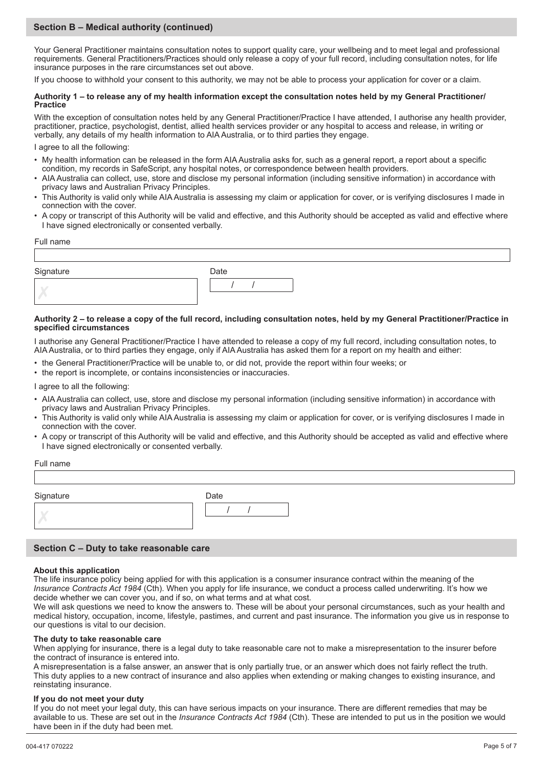# **Section B – Medical authority (continued)**

Your General Practitioner maintains consultation notes to support quality care, your wellbeing and to meet legal and professional requirements. General Practitioners/Practices should only release a copy of your full record, including consultation notes, for life insurance purposes in the rare circumstances set out above.

If you choose to withhold your consent to this authority, we may not be able to process your application for cover or a claim.

#### **Authority 1 – to release any of my health information except the consultation notes held by my General Practitioner/ Practice**

With the exception of consultation notes held by any General Practitioner/Practice I have attended, I authorise any health provider, practitioner, practice, psychologist, dentist, allied health services provider or any hospital to access and release, in writing or verbally, any details of my health information to AIA Australia, or to third parties they engage.

I agree to all the following:

- My health information can be released in the form AIA Australia asks for, such as a general report, a report about a specific condition, my records in SafeScript, any hospital notes, or correspondence between health providers.
- AIA Australia can collect, use, store and disclose my personal information (including sensitive information) in accordance with privacy laws and Australian Privacy Principles.
- This Authority is valid only while AIA Australia is assessing my claim or application for cover, or is verifying disclosures I made in connection with the cover.
- A copy or transcript of this Authority will be valid and effective, and this Authority should be accepted as valid and effective where I have signed electronically or consented verbally.

#### Full name

| Signature | Date |
|-----------|------|
|           |      |

#### **Authority 2 – to release a copy of the full record, including consultation notes, held by my General Practitioner/Practice in specified circumstances**

I authorise any General Practitioner/Practice I have attended to release a copy of my full record, including consultation notes, to AIA Australia, or to third parties they engage, only if AIA Australia has asked them for a report on my health and either:

- the General Practitioner/Practice will be unable to, or did not, provide the report within four weeks; or
- the report is incomplete, or contains inconsistencies or inaccuracies.

I agree to all the following:

- AIA Australia can collect, use, store and disclose my personal information (including sensitive information) in accordance with privacy laws and Australian Privacy Principles.
- This Authority is valid only while AIA Australia is assessing my claim or application for cover, or is verifying disclosures I made in connection with the cover.
- A copy or transcript of this Authority will be valid and effective, and this Authority should be accepted as valid and effective where I have signed electronically or consented verbally.

| Full name        |      |  |
|------------------|------|--|
|                  |      |  |
| Signature        | Date |  |
| $\boldsymbol{X}$ |      |  |
|                  |      |  |

## **Section C – Duty to take reasonable care**

## **About this application**

The life insurance policy being applied for with this application is a consumer insurance contract within the meaning of the *Insurance Contracts Act 1984* (Cth). When you apply for life insurance, we conduct a process called underwriting. It's how we decide whether we can cover you, and if so, on what terms and at what cost.

We will ask questions we need to know the answers to. These will be about your personal circumstances, such as your health and medical history, occupation, income, lifestyle, pastimes, and current and past insurance. The information you give us in response to our questions is vital to our decision.

#### **The duty to take reasonable care**

When applying for insurance, there is a legal duty to take reasonable care not to make a misrepresentation to the insurer before the contract of insurance is entered into.

A misrepresentation is a false answer, an answer that is only partially true, or an answer which does not fairly reflect the truth. This duty applies to a new contract of insurance and also applies when extending or making changes to existing insurance, and reinstating insurance.

## **If you do not meet your duty**

If you do not meet your legal duty, this can have serious impacts on your insurance. There are different remedies that may be available to us. These are set out in the *Insurance Contracts Act 1984* (Cth). These are intended to put us in the position we would have been in if the duty had been met.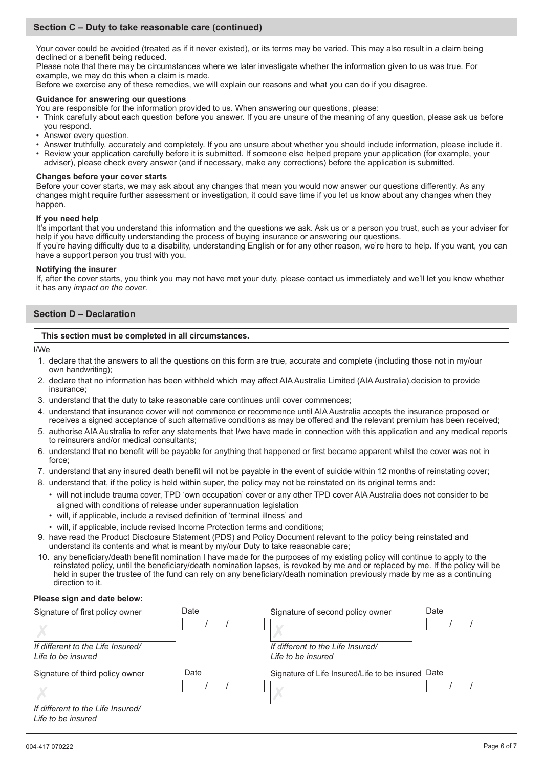# **Section C – Duty to take reasonable care (continued)**

Your cover could be avoided (treated as if it never existed), or its terms may be varied. This may also result in a claim being declined or a benefit being reduced.

Please note that there may be circumstances where we later investigate whether the information given to us was true. For example, we may do this when a claim is made.

Before we exercise any of these remedies, we will explain our reasons and what you can do if you disagree.

## **Guidance for answering our questions**

You are responsible for the information provided to us. When answering our questions, please:

- Think carefully about each question before you answer. If you are unsure of the meaning of any question, please ask us before you respond.
- Answer every question.
- Answer truthfully, accurately and completely. If you are unsure about whether you should include information, please include it.
- Review your application carefully before it is submitted. If someone else helped prepare your application (for example, your adviser), please check every answer (and if necessary, make any corrections) before the application is submitted.

## **Changes before your cover starts**

Before your cover starts, we may ask about any changes that mean you would now answer our questions differently. As any changes might require further assessment or investigation, it could save time if you let us know about any changes when they happen.

## **If you need help**

It's important that you understand this information and the questions we ask. Ask us or a person you trust, such as your adviser for help if you have difficulty understanding the process of buying insurance or answering our questions.

If you're having difficulty due to a disability, understanding English or for any other reason, we're here to help. If you want, you can have a support person you trust with you.

#### **Notifying the insurer**

If, after the cover starts, you think you may not have met your duty, please contact us immediately and we'll let you know whether it has any *impact on the cover*.

## **Section D – Declaration**

## **This section must be completed in all circumstances.**

I/We

- 1. declare that the answers to all the questions on this form are true, accurate and complete (including those not in my/our own handwriting);
- 2. declare that no information has been withheld which may affect AIA Australia Limited (AIA Australia).decision to provide insurance;
- 3. understand that the duty to take reasonable care continues until cover commences;
- 4. understand that insurance cover will not commence or recommence until AIA Australia accepts the insurance proposed or receives a signed acceptance of such alternative conditions as may be offered and the relevant premium has been received;
- 5. authorise AIA Australia to refer any statements that I/we have made in connection with this application and any medical reports to reinsurers and/or medical consultants;
- 6. understand that no benefit will be payable for anything that happened or first became apparent whilst the cover was not in force;
- 7. understand that any insured death benefit will not be payable in the event of suicide within 12 months of reinstating cover;
- 8. understand that, if the policy is held within super, the policy may not be reinstated on its original terms and:
	- will not include trauma cover, TPD 'own occupation' cover or any other TPD cover AIA Australia does not consider to be aligned with conditions of release under superannuation legislation
	- will, if applicable, include a revised definition of 'terminal illness' and
	- will, if applicable, include revised Income Protection terms and conditions;
- 9. have read the Product Disclosure Statement (PDS) and Policy Document relevant to the policy being reinstated and understand its contents and what is meant by my/our Duty to take reasonable care;
- 10. any beneficiary/death benefit nomination I have made for the purposes of my existing policy will continue to apply to the reinstated policy, until the beneficiary/death nomination lapses, is revoked by me and or replaced by me. If the policy will be held in super the trustee of the fund can rely on any beneficiary/death nomination previously made by me as a continuing direction to it.

## **Please sign and date below:**

| Signature of first policy owner                         | Date | Signature of second policy owner                        | Date |
|---------------------------------------------------------|------|---------------------------------------------------------|------|
|                                                         |      |                                                         |      |
| If different to the Life Insured/<br>Life to be insured |      | If different to the Life Insured/<br>Life to be insured |      |
| Signature of third policy owner                         | Date | Signature of Life Insured/Life to be insured Date       |      |
|                                                         |      |                                                         |      |
| If different to the Life Insured/<br>Life to be insured |      |                                                         |      |